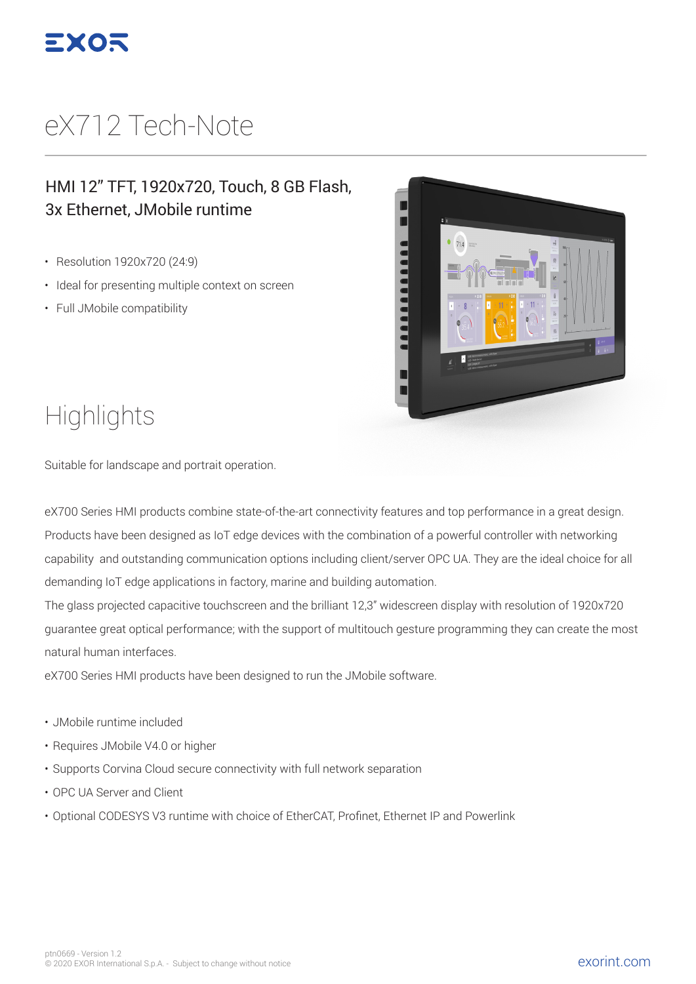

## eX712 Tech-Note

#### HMI 12" TFT, 1920x720, Touch, 8 GB Flash, 3x Ethernet, JMobile runtime

- Resolution 1920x720 (24:9)
- Ideal for presenting multiple context on screen
- Full JMobile compatibility



### **Highlights**

Suitable for landscape and portrait operation.

eX700 Series HMI products combine state-of-the-art connectivity features and top performance in a great design. Products have been designed as IoT edge devices with the combination of a powerful controller with networking capability and outstanding communication options including client/server OPC UA. They are the ideal choice for all demanding IoT edge applications in factory, marine and building automation.

The glass projected capacitive touchscreen and the brilliant 12,3" widescreen display with resolution of 1920x720 guarantee great optical performance; with the support of multitouch gesture programming they can create the most natural human interfaces.

eX700 Series HMI products have been designed to run the JMobile software.

- JMobile runtime included
- Requires JMobile V4.0 or higher
- Supports Corvina Cloud secure connectivity with full network separation
- OPC UA Server and Client
- Optional CODESYS V3 runtime with choice of EtherCAT, Profinet, Ethernet IP and Powerlink